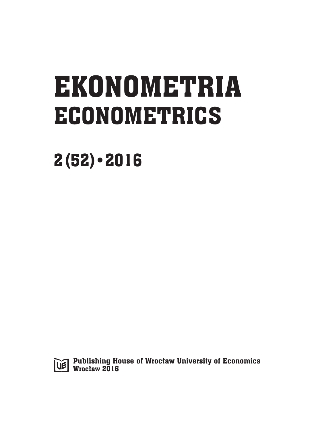# EKONOMETRIA ECONOMETRICS

2(52)•2016



Publishing House of Wrocław University of Economics Wrocław 2016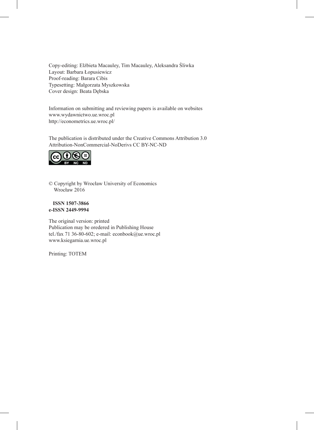Copy-editing: Elżbieta Macauley, Tim Macauley, Aleksandra Śliwka Layout: Barbara Łopusiewicz Proof-reading: Barara Cibis Typesetting: Małgorzata Myszkowska Cover design: Beata Dębska

Information on submitting and reviewing papers is available on websites www.wydawnictwo.ue.wroc.pl http://econometrics.ue.wroc.pl/

The publication is distributed under the Creative Commons Attribution 3.0 Attribution-NonCommercial-NoDerivs CC BY-NC-ND



© Copyright by Wrocław University of Economics Wrocław 2016

#### **ISSN 1507-3866 e-ISSN 2449-9994**

The original version: printed Publication may be oredered in Publishing House tel./fax 71 36-80-602; e-mail: econbook@ue.wroc.pl www.ksiegarnia.ue.wroc.pl

Printing: TOTEM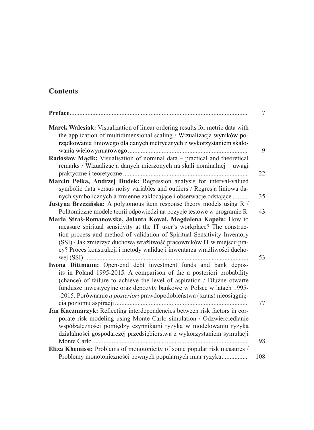# **Contents**

| Preface<br>7                                                                                                                                                                                                                                                                                                                                                                                                                                                     |
|------------------------------------------------------------------------------------------------------------------------------------------------------------------------------------------------------------------------------------------------------------------------------------------------------------------------------------------------------------------------------------------------------------------------------------------------------------------|
| Marek Walesiak: Visualization of linear ordering results for metric data with<br>the application of multidimensional scaling / Wizualizacja wyników po-<br>rządkowania liniowego dla danych metrycznych z wykorzystaniem skalo-<br>9                                                                                                                                                                                                                             |
| Radosław Mącik: Visualisation of nominal data - practical and theoretical                                                                                                                                                                                                                                                                                                                                                                                        |
| remarks / Wizualizacja danych mierzonych na skali nominalnej – uwagi<br>22                                                                                                                                                                                                                                                                                                                                                                                       |
| Marcin Pełka, Andrzej Dudek: Regression analysis for interval-valued                                                                                                                                                                                                                                                                                                                                                                                             |
| symbolic data versus noisy variables and outliers / Regresja liniowa da-<br>nych symbolicznych a zmienne zakłócające i obserwacje odstające<br>35                                                                                                                                                                                                                                                                                                                |
| Justyna Brzezińska: A polytomous item response theory models using R /                                                                                                                                                                                                                                                                                                                                                                                           |
| Politomiczne modele teorii odpowiedzi na pozycje testowe w programie R<br>43<br>Maria Straś-Romanowska, Jolanta Kowal, Magdalena Kapała: How to<br>measure spiritual sensitivity at the IT user's workplace? The construc-<br>tion process and method of validation of Spiritual Sensitivity Inventory<br>(SSI) / Jak zmierzyć duchową wrażliwość pracowników IT w miejscu pra-<br>cy? Proces konstrukcji i metody walidacji inwentarza wrażliwości ducho-<br>53 |
| Iwona Dittmann: Open-end debt investment funds and bank depos-                                                                                                                                                                                                                                                                                                                                                                                                   |
| its in Poland 1995-2015. A comparison of the a posteriori probability<br>(chance) of failure to achieve the level of aspiration / Dłużne otwarte<br>fundusze inwestycyjne oraz depozyty bankowe w Polsce w latach 1995-<br>-2015. Porównanie a posteriori prawdopodobieństwa (szans) nieosiągnię-<br>77                                                                                                                                                          |
| Jan Kaczmarzyk: Reflecting interdependencies between risk factors in cor-                                                                                                                                                                                                                                                                                                                                                                                        |
| porate risk modeling using Monte Carlo simulation / Odzwierciedlanie<br>współzależności pomiędzy czynnikami ryzyka w modelowaniu ryzyka<br>działalności gospodarczej przedsiębiorstwa z wykorzystaniem symulacji<br>98                                                                                                                                                                                                                                           |
| Eliza Khemissi: Problems of monotonicity of some popular risk measures /                                                                                                                                                                                                                                                                                                                                                                                         |
| Problemy monotoniczności pewnych popularnych miar ryzyka<br>108                                                                                                                                                                                                                                                                                                                                                                                                  |